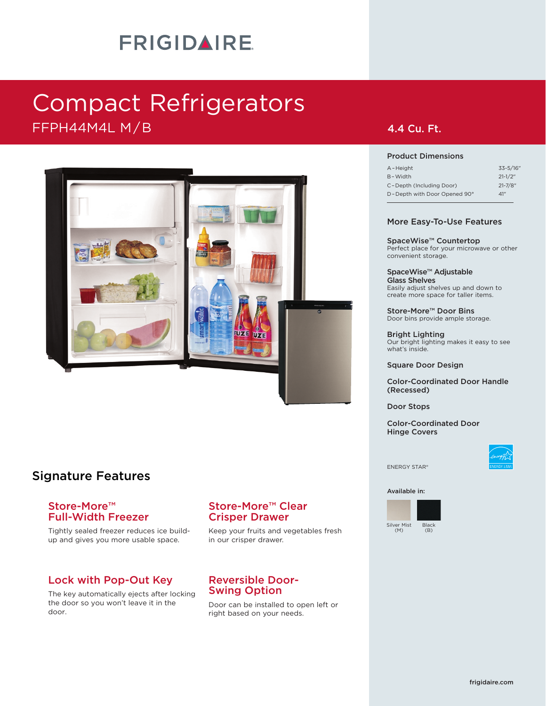# **FRIGIDAIRE**

# Compact Refrigerators FFPH44M4L M/B **4.4 Cu. Ft.**



### Signature Features

### Store-More™ Full-Width Freezer

Tightly sealed freezer reduces ice buildup and gives you more usable space.

### Lock with Pop-Out Key

The key automatically ejects after locking the door so you won't leave it in the door.

### Store-More™ Clear Crisper Drawer

Keep your fruits and vegetables fresh in our crisper drawer.

### Reversible Door-Swing Option

Door can be installed to open left or right based on your needs.

### Product Dimensions

| A-Height                     | $33 - 5/16$ " |
|------------------------------|---------------|
| B-Width                      | $21 - 1/2$ "  |
| C-Depth (Including Door)     | $21 - 7/8"$   |
| D-Depth with Door Opened 90° | 41"           |
|                              |               |

### More Easy-To-Use Features

SpaceWise™ Countertop Perfect place for your microwave or other convenient storage.

SpaceWise™ Adjustable Glass Shelves Easily adjust shelves up and down to create more space for taller items.

Store-More™ Door Bins Door bins provide ample storage.

Bright Lighting Our bright lighting makes it easy to see what's inside.

### Square Door Design

Color-Coordinated Door Handle (Recessed)

Door Stops

Color-Coordinated Door Hinge Covers



ENERGY STAR®

Available in: